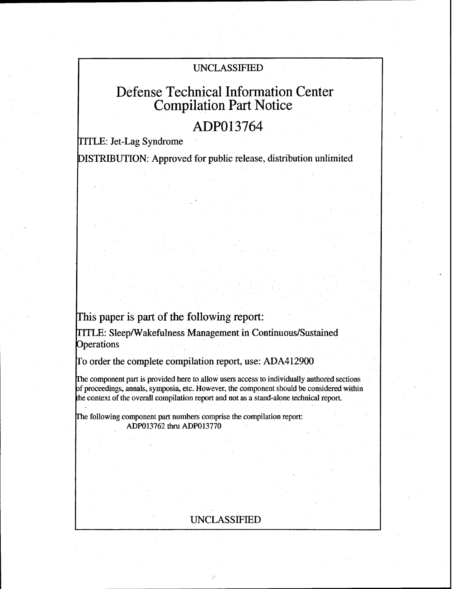# UNCLASSIFIED

# Defense Technical Information Center Compilation Part Notice

# **ADP013764**

TITLE: Jet-Lag Syndrome

DISTRIBUTION: Approved for public release, distribution unlimited

This paper is part of the following report:

TITLE: Sleep/Wakefulness Management in Continuous/Sustained **Operations** 

To order the complete compilation report, use: ADA412900

rhe component part is provided here to allow users access to individually authored sections f proceedings, annals, symposia, etc. However, the component should be considered within the context of the overall compilation report and not as a stand-alone technical report.

The following component part numbers comprise the compilation report: ADP013762 **thru** ADP013770

# UNCLASSIFIED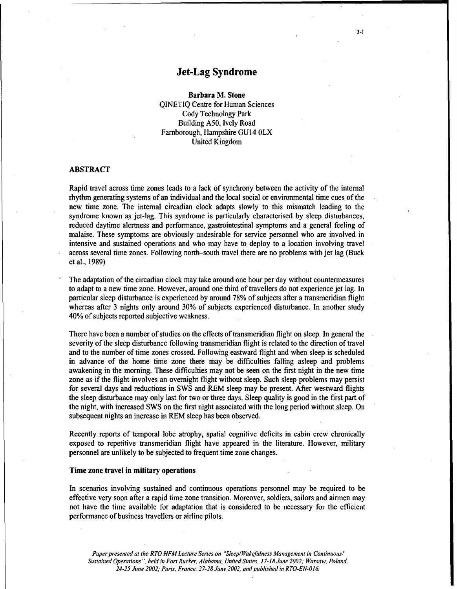# Jet-Lag Syndrome

Barbara M. Stone

QINETIQ Centre for Human Sciences Cody Technology Park Building A50, Ively Road Farnborough, Hampshire GU14 OLX United Kingdom

## ABSTRACT

Rapid travel across time zones leads to a lack of synchrony between the activity of the internal rhythm generating systems of an individual and the local social or environmental time cues of the new time zone. The internal circadian clock adapts slowly to this mismatch leading to the syndrome known as jet-lag. This syndrome is particularly characterised by sleep disturbances, reduced daytime alertness and performance, gastrointestinal symptoms and a general feeling of malaise. These symptoms are obviously undesirable for service personnel who are involved in intensive and sustained operations and who may have to deploy to a location involving travel across several time zones. Following north-south travel there are no problems with jet lag (Buck et al., 1989)

The adaptation of the circadian clock may take around one hour per day without countermeasures to adapt to a new time zone. However, around one third of travellers do not experience jet lag. In particular sleep disturbance is experienced by around 78% of subjects after a transmeridian flight whereas after 3 nights only around 30% of subjects experienced disturbance. In another study 40% of subjects reported subjective weakness.

There have been a number of studies on the effects of transmeridian flight on sleep. In general the severity of the sleep disturbance following transmeridian flight is related to the direction of travel and to the number of time zones crossed. Following eastward flight and when sleep is scheduled in advance of the home time zone there may be difficulties falling asleep and problems awakening in the morning. These difficulties may not be seen on the first night in the new time zone as if the flight involves an overnight flight without sleep. Such sleep problems may persist for several days and reductions in SWS and REM sleep may be present. After westward flights the sleep disturbance may only last for two or three days. Sleep quality is good in the first part of the night, with increased SWS on the first night associated with the long period without sleep. On subsequent nights an increase in REM sleep has been observed.

Recently reports of temporal lobe atrophy, spatial cognitive deficits in cabin crew chronically exposed to repetitive transmeridian flight have appeared in the literature. However, military personnel are unlikely to be subjected to frequent time zone changes.

## Time zone travel in military operations

In scenarios involving sustained and continuous operations personnel may be required to be effective very soon after a rapid time zone transition. Moreover, soldiers, sailors and airmen may not have the time available for adaptation that is considered to be necessary for the efficient performance of business travellers or airline pilots.

*Paper presented at the RTO HFM Lecture Series on "Sleep/Wakefulness Management in Continuous/ Sustained Operations". held in Fort Rucker, Alabama, United States. 17-18 June 2002; Warsaw, Poland. 24-25 June 2002; Paris, France. 27-28 June 2002, and published in RTO-EN-016.*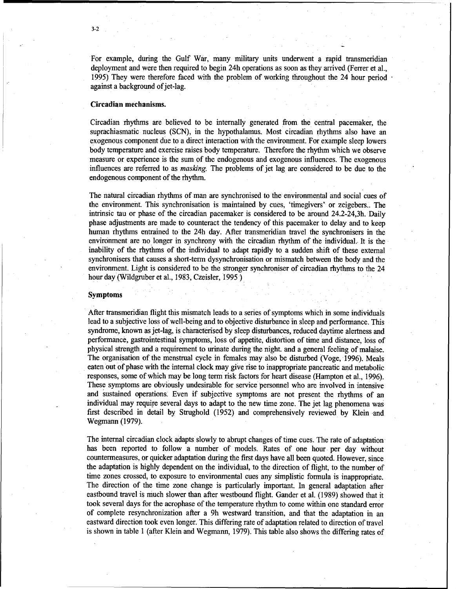For example, during the Gulf War, many military units underwent a rapid transmeridian deployment and were then required to begin 24h operations as soon as they arrived (Ferrer et al., 1995) They were therefore faced with the problem of working throughout the 24 hour period against a background of jet-lag.

### Circadian mechanisms.

Circadian rhythms are believed to be internally generated from the central pacemaker, the suprachiasmatic nucleus (SCN), in the hypothalamus. Most circadian rhythms also have an exogenous component due to a direct interaction with the environment. For example sleep lowers body temperature and exercise raises body temperature. Therefore the rhythm which we observe measure or experience is the sum of the endogenous and exogenous influences. The exogenous influences are referred to as *masking.* The problems of jet lag are considered to be due to the endogenous component of the rhythm.

The natural circadian rhythms of man are synchronised to the environmental and social cues of the environment. This synchronisation is maintained by cues, 'timegivers' or zeigebers.. The intrinsic tau or phase of the circadian pacemaker is considered to be around 24.2-24,3h. Daily phase adjustments are made to counteract the tendency of this pacemaker to delay and to keep human rhythms entrained to the 24h day. After transmeridian travel the synchronisers in the environment are no longer in synchrony with the circadian rhythm of the individual.. It is the inability of the rhythms of the individual to adapt rapidly to a sudden shift of these external synchronisers that causes a short-term dysynchronisation or mismatch between the body and the environment. Light is considered to be the stronger synchroniser of circadian rhythms to the 24 hour day (Wildgruber et al., 1983, Czeisler, 1995.)

#### Symptoms

After transmeridian flight this mismatch leads to a series of symptoms which in some individuals lead to a subjective loss of well-being and to objective disturbance in sleep and performance. This syndrome, known as jet-lag, is characterised by sleep disturbances, reduced daytime alertness and performance, gastrointestinal symptoms, loss of appetite, distortion of time and distance, loss of physical strength and a requirement to urinate during the night. and a general feeling of malaise. The organisation of the menstrual cycle in females may also be disturbed (Voge, 1996). Meals eaten out of phase with the internal clock may give rise to inappropriate pancreatic and metabolic responses, some of which may be long term risk factors for heart disease (Hampton et al., 1996). These symptoms are obviously undesirable for service personnel who are involved in intensive and sustained operations: Even if subjective symptoms are not present the rhythms of an individual may require several days to adapt to the new time zone. The jet lag phenomena was first described in detail by Strughold (1952) and comprehensively reviewed by Klein and Wegmann (1979).

The internal circadian clock adapts slowly to abrupt changes of time cues. The rate of adaptation has been reported to follow a number of models, Rates of one hour per day without countermeasures, or quicker adaptation during the first days have all been quoted. However, since the adaptation is highly dependent on the individual, to the direction of flight, to the number of time zones crossed, to exposure to environmental cues any simplistic formula is inappropriate. The direction of the time zone change is particularly important. In general adaptation after eastbound travel is much slower than after westbound flight. Gander et al. (1989) showed that it took several days for the acrophase of the temperature rhythm to come within one standard error of complete resynchronization after a 9h westward transition, and that the adaptation in an eastward direction took even longer. This differing rate of adaptation related to direction of travel is shown in table 1 (after Klein and Wegmann, 1979). This table also shows the differing rates of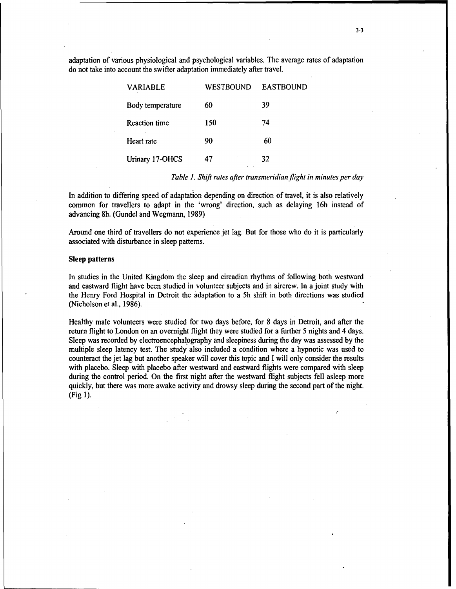adaptation of various physiological and psychological variables. The average rates of adaptation do not take into account the swifter adaptation immediately after travel.

| <b>VARIABLE</b>      | <b>WESTBOUND</b> | <b>EASTBOUND</b> |
|----------------------|------------------|------------------|
| Body temperature     | 60               | 39               |
| <b>Reaction time</b> | 150              | 74               |
| Heart rate           | 90               | 60               |
| Urinary 17-OHCS      | 47<br>$\cdot$ .  | 32               |
|                      |                  |                  |

*Table 1. Shift rates after transmeridian flight in minutes per day*

In addition to differing speed of adaptation depending on direction of travel, it is also relatively common for travellers to adapt in the 'wrong' direction, such as delaying 16h instead of advancing 8h. (Gundel and Wegmann, 1989)

Around one third of travellers do not experience jet lag. But for those who do it is particularly associated with disturbance in sleep patterns.

### Sleep patterns

In studies in the United Kingdom the sleep and circadian rhythms of following both westward and eastward flight have been studied in volunteer subjects and in aircrew. In a joint study with the Henry Ford Hospital in Detroit the adaptation to a 5h shift in both directions was studied (Nicholson et al., 1986).

Healthy male volunteers were studied for two days before, for 8 days in Detroit, and after the return flight to London on an overnight flight they were studied for a further 5 nights and 4 days. Sleep was recorded by electroencephalography and sleepiness during the day was assessed by the multiple sleep latency test. The study also included a condition where a hypnotic was used to counteract the jet lag but another speaker will cover this topic and I will only consider the results with placebo. Sleep with placebo after westward and eastward flights were compared with sleep during the control period. On the first night after the westward flight subjects fell asleep more quickly, but there was more awake activity and drowsy sleep during the second part of the night. (Fig 1).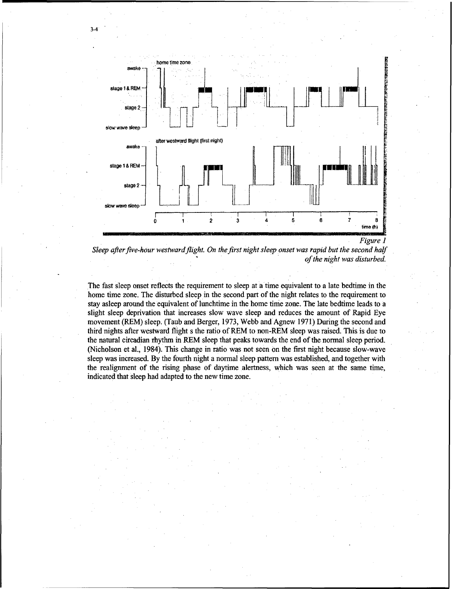





The fast sleep onset reflects the requirement to sleep at a time equivalent to a late bedtime in the home time zone. The disturbed sleep in the second part of the night relates to the requirement to stay asleep around the equivalent of lunchtime in the home time zone. The late bedtime leads to a slight sleep deprivation that increases slow wave sleep and reduces the amount of Rapid Eye movement (REM) sleep. (Taub and Berger, 1973, Webb and Agnew 1971) During the second and third nights after westward flight s the ratio of REM to non-REM sleep was raised. This is due to the natural circadian rhythm in REM sleep that peaks towards the end of the normal sleep period. (Nicholson et al., 1984). This change in ratio was not seen on the first night because slow-wave sleep was increased. By the fourth night a normal sleep pattern was established, and together with the realignment of the rising phase of daytime alertness, which was seen at the same time, indicated that sleep had adapted to the new time zone.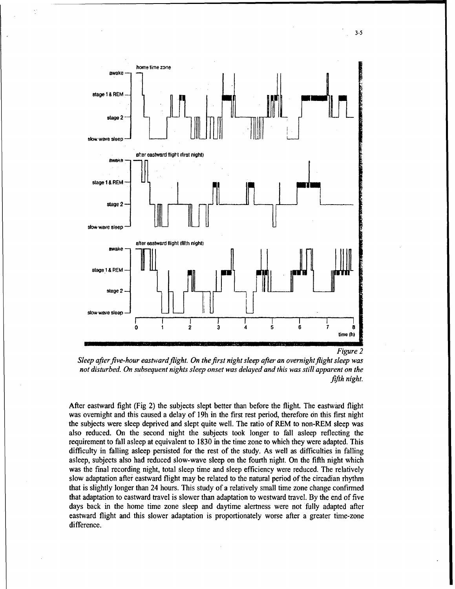

*Sleep after five-hour eastward flight. On the first night sleep after an overnight flight sleep was not disturbed. On subsequent nights sleep onset was delayed and this was still apparent on the fifth night.*

After eastward fight (Fig 2) the subjects slept better than before the flight. The eastward flight was overnight and this caused a delay of 19h in the first rest period, therefore on this first night the subjects were sleep deprived and slept quite well. The ratio of REM to non-REM sleep was also reduced. On the second night the subjects took longer to fall asleep reflecting the requirement to fall asleep at equivalent to 1830 in the time zone to which they were adapted. This difficulty in falling asleep persisted for the rest of the study. As well as difficulties in falling asleep, subjects also had reduced slow-wave sleep on the fourth night. On the fifth night which was the final recording night, total sleep time and sleep efficiency were reduced. The relatively slow adaptation after eastward flight may be related to the natural period of the circadian rhythm that is slightly longer than 24 hours. This study of a relatively small time zone change confirmed that adaptation to eastward travel is slower than adaptation to westward travel. By the end of five days back in the home time zone sleep and daytime alertness were not fully adapted after eastward flight and this slower adaptation is proportionately worse after a greater time-zone difference.

3-5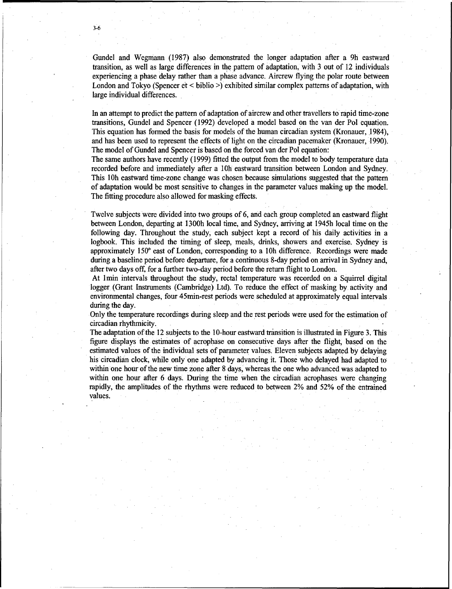Gundel and Wegmann (1987) also demonstrated the longer adaptation after a 9h eastward transition, as well as large differences in the pattern of adaptation, with 3 out of 12 individuals experiencing a phase delay rather than a phase advance. Aircrew flying the polar route between London and Tokyo (Spencer et < biblio >) exhibited similar complex patterns of adaptation, with large individual differences.

In an attempt to predict the pattern of adaptation of aircrew and other travellers to rapid time-zone transitions, Gundel and Spencer (1992) developed a model based on the van der Pol equation. This equation has formed the basis for models of the human circadian system (Kronauer, 1984), and has been used to represent the effects of light on the circadian pacemaker (Kronauer, 1990). The model of Gundel and Spencer is based on the forced van der Pol equation:

The same authors have recently (1999) fitted the output from the model to body temperature data recorded before and immediately after a 10h eastward transition between London and Sydney. This 10h eastward time-zone change was chosen because simulations suggested that the pattern of adaptation would be most sensitive to changes in the parameter values making up the model. The fitting procedure also allowed for masking effects.

Twelve subjects were divided into two groups of 6, and each group completed an eastward flight between London, departing at 1300h local time, and Sydney, arriving at 1945h local time on the following day. Throughout the study, each subject kept a record of his daily activities in a logbook. This included the timing of sleep, meals, drinks, showers and exercise. Sydney is approximately **150** east of London, corresponding to a 10h difference. Recordings were made during a baseline period before departure, for a continuous 8-day period on arrival in Sydney and, after two days off, for a further two-day period before the return flight to London.

At 1min intervals throughout the study, rectal temperature was recorded on a Squirrel digital logger (Grant Instruments (Cambridge) Ltd). To reduce the effect of masking by activity and environmental changes, four 45min-rest periods were scheduled at approximately equal intervals during the day.

Only the temperature recordings during sleep and the rest periods were used for the estimation of circadian rhythmicity.

The adaptation of the 12 subjects to the 10-hour eastward transition is illustrated in Figure 3. This figure displays the estimates of acrophase on consecutive days after the flight, based on the estimated values of the individual sets of parameter values. Eleven subjects adapted by delaying his circadian clock, while only one adapted by advancing it. Those who delayed had adapted to within one hour of the new time zone after 8 days, whereas the one who advanced was adapted to within one hour after 6 days. During the time when the circadian acrophases were changing rapidly, the amplitudes of the rhythms were reduced to between 2% and 52% of the entrained values.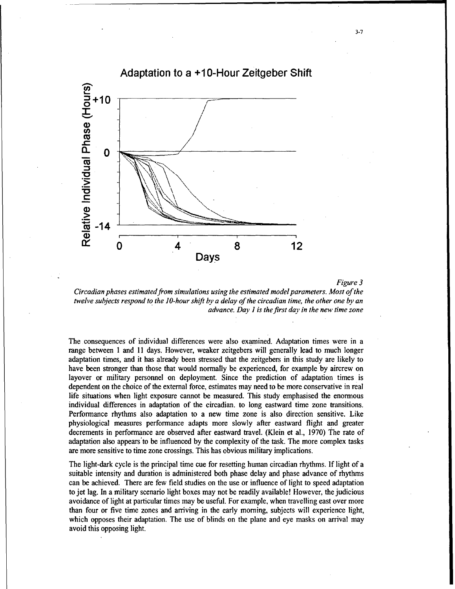

*Figure 3*

*Circadian phases estimated from simulations using the estimated model parameters. Most of the twelve subjects respond to the 10-hour shift by a delay of the circadian time, the other one by an advance. Day I is the first day in the new time zone*

The consequences of individual differences were also examined. Adaptation times were in a range between **I** and 11 days. However, weaker zeitgebers will generally lead to much longer adaptation times, and it has already been stressed that the zeitgebers in this study are likely to have been stronger than those that would normally be experienced, for example by aircrew on layover or military personnel on deployment. Since the prediction of adaptation times is dependent on the choice of the external force, estimates may need to be more conservative in real life situations when light exposure cannot be measured. This study emphasised the enormous individual differences in adaptation of the circadian. to long eastward time zone transitions. Performance rhythms also adaptation to a new time zone is also direction sensitive. Like physiological measures performance adapts more slowly after eastward flight and greater decrements in performance are observed after eastward travel. (Klein et al., 1970) The rate of adaptation also appears'to be influenced by the complexity of the task. The more complex tasks are more sensitive to time zone crossings. This has obvious military implications.

The light-dark cycle is the principal time cue for resetting human circadian rhythms. If light of a suitable intensity and duration is administered both phase delay and phase advance of rhythms can be achieved. There are few field studies on the use or influence of light to speed adaptation to jet lag. In a military scenario light boxes may not be readily available! However, the judicious avoidance of light at particular times may be useful. For example, when travelling east over more than four or five time zones and arriving in the early morning, subjects will experience light, which opposes their adaptation. The use of blinds on the plane and eye masks on arrival may avoid this opposing light.

3-7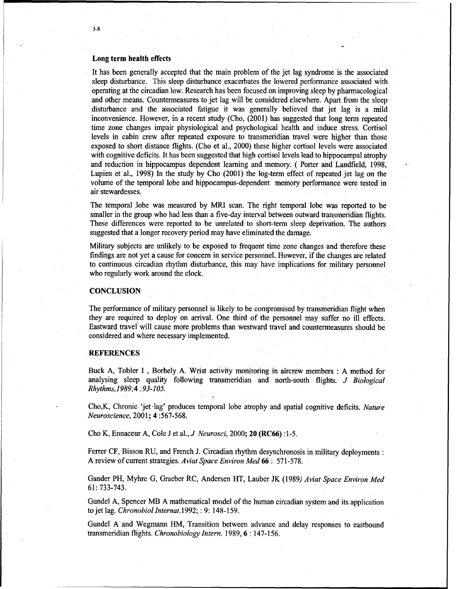#### Long term health effects

It has been generally accepted that the main problem of the jet lag syndrome is the associated sleep disturbance. This sleep disturbance exacerbates the lowered performance associated with operating at the circadian low. Research has been focused on improving sleep by pharmacological and other means. Countermeasures to jet lag will be considered elsewhere. Apart from the sleep disturbance and the associated fatigue it was generally believed that jet lag is a mild inconvenience. However, in a recent study (Cho, (2001) has suggested that long term repeated time zone changes impair physiological and psychological health and induce stress. Cortisol levels in cabin crew after repeated exposure to transmeridian travel were higher than those exposed to short distance flights. (Cho et al., 2000) these higher cortisol levels were associated with cognitive deficits. It has been suggested that high cortisol levels lead to hippocampal atrophy and reduction in hippocampus dependent learning and memory. ( Porter and Landfield, 1998, Lupien et al., 1998) In the study by Cho (2001) the log-term effect of repeated jet lag on the volume of the temporal lobe and hippocampus-dependent memory performance were tested in air stewardesses.

The temporal lobe was measured by MRI scan. The right temporal lobe was reported to be smaller in the group who had less than a five-day interval between outward transmeridian flights. These differences were reported to be unrelated to short-term sleep deprivation. The authors suggested that a longer recovery period may have eliminated the damage.

Military subjects are unlikely to be exposed to frequent time zone changes and therefore these findings are not yet a cause for concern in service personnel. However, if the changes are related to continuous circadian rhythm disturbance, this may have implications for military personnel who regularly work around the clock.

#### **CONCLUSION**

The performance of military personnel is likely to be compromised by transmeridian flight when they are required to deploy on arrival. One third of the personnel may suffer no ill effects. Eastward travel will cause more problems than westward travel and countermeasures should be considered and where necessary implemented.

#### REFERENCES

Buck A, Tobler I, Borbely A. Wrist activity monitoring in aircrew members : A method for analysing sleep quality following transmeridian and north-south flights. *J Biological Rhythms, 19894 :93-105.*

Cho,K, Chronic 'jet-lag' produces temporal lobe atrophy and spatial cognitive deficits. *Nature Neuroscience,* 2001; 4:567-568.

Cho K, Ennaceur A, Cole J et al., *J Neurosci,* 2000; 20 **(RC66)** :1-5.

Ferrer CF, Bisson RU, and French J. Circadian rhythm desynchronosis in military deployments: A review of current strategies. *Aviat Space Environ Med* 66 *:* 571-578.

Gander PH, Myhre G, Graeber RC, Andersen HT, Lauber JK (1989) *Aviat Space Environ Med* 61: 733-743.

Gundel A, Spencer MB A mathematical model of the human circadian system and its application to jet lag. *Chronobiollnternat.1992; :* 9: 148-159.

Gundel A and Wegmann HM, Transition between advance and delay responses to eastbound transmeridian flights. *Chronobiology Intern.* 1989, 6 **:** 147-156.